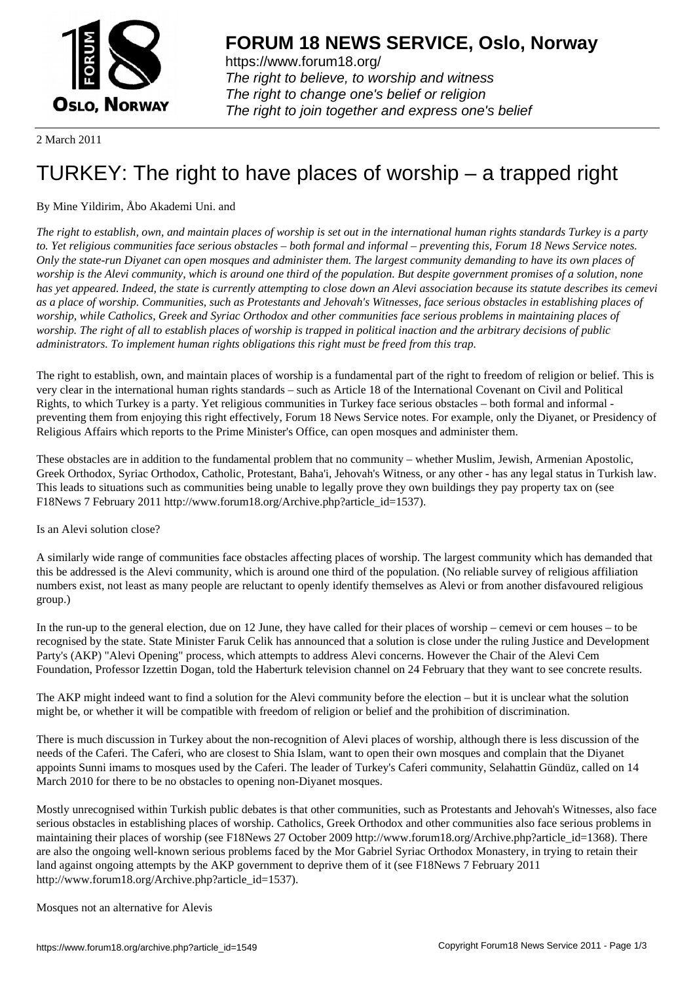

https://www.forum18.org/ The right to believe, to worship and witness The right to change one's belief or religion [The right to join together a](https://www.forum18.org/)nd express one's belief

2 March 2011

# [TURKEY: The r](https://www.forum18.org)ight to have places of worship – a trapped right

# By Mine Yildirim, Åbo Akademi Uni. and

*The right to establish, own, and maintain places of worship is set out in the international human rights standards Turkey is a party to. Yet religious communities face serious obstacles – both formal and informal – preventing this, Forum 18 News Service notes. Only the state-run Diyanet can open mosques and administer them. The largest community demanding to have its own places of worship is the Alevi community, which is around one third of the population. But despite government promises of a solution, none has yet appeared. Indeed, the state is currently attempting to close down an Alevi association because its statute describes its cemevi as a place of worship. Communities, such as Protestants and Jehovah's Witnesses, face serious obstacles in establishing places of worship, while Catholics, Greek and Syriac Orthodox and other communities face serious problems in maintaining places of worship. The right of all to establish places of worship is trapped in political inaction and the arbitrary decisions of public administrators. To implement human rights obligations this right must be freed from this trap.*

The right to establish, own, and maintain places of worship is a fundamental part of the right to freedom of religion or belief. This is very clear in the international human rights standards – such as Article 18 of the International Covenant on Civil and Political Rights, to which Turkey is a party. Yet religious communities in Turkey face serious obstacles – both formal and informal preventing them from enjoying this right effectively, Forum 18 News Service notes. For example, only the Diyanet, or Presidency of Religious Affairs which reports to the Prime Minister's Office, can open mosques and administer them.

These obstacles are in addition to the fundamental problem that no community – whether Muslim, Jewish, Armenian Apostolic, Greek Orthodox, Syriac Orthodox, Catholic, Protestant, Baha'i, Jehovah's Witness, or any other - has any legal status in Turkish law. This leads to situations such as communities being unable to legally prove they own buildings they pay property tax on (see F18News 7 February 2011 http://www.forum18.org/Archive.php?article\_id=1537).

## Is an Alevi solution close?

A similarly wide range of communities face obstacles affecting places of worship. The largest community which has demanded that this be addressed is the Alevi community, which is around one third of the population. (No reliable survey of religious affiliation numbers exist, not least as many people are reluctant to openly identify themselves as Alevi or from another disfavoured religious group.)

In the run-up to the general election, due on 12 June, they have called for their places of worship – cemevi or cem houses – to be recognised by the state. State Minister Faruk Celik has announced that a solution is close under the ruling Justice and Development Party's (AKP) "Alevi Opening" process, which attempts to address Alevi concerns. However the Chair of the Alevi Cem Foundation, Professor Izzettin Dogan, told the Haberturk television channel on 24 February that they want to see concrete results.

The AKP might indeed want to find a solution for the Alevi community before the election – but it is unclear what the solution might be, or whether it will be compatible with freedom of religion or belief and the prohibition of discrimination.

There is much discussion in Turkey about the non-recognition of Alevi places of worship, although there is less discussion of the needs of the Caferi. The Caferi, who are closest to Shia Islam, want to open their own mosques and complain that the Diyanet appoints Sunni imams to mosques used by the Caferi. The leader of Turkey's Caferi community, Selahattin Gündüz, called on 14 March 2010 for there to be no obstacles to opening non-Diyanet mosques.

Mostly unrecognised within Turkish public debates is that other communities, such as Protestants and Jehovah's Witnesses, also face serious obstacles in establishing places of worship. Catholics, Greek Orthodox and other communities also face serious problems in maintaining their places of worship (see F18News 27 October 2009 http://www.forum18.org/Archive.php?article\_id=1368). There are also the ongoing well-known serious problems faced by the Mor Gabriel Syriac Orthodox Monastery, in trying to retain their land against ongoing attempts by the AKP government to deprive them of it (see F18News 7 February 2011 http://www.forum18.org/Archive.php?article\_id=1537).

Mosques not an alternative for Alevis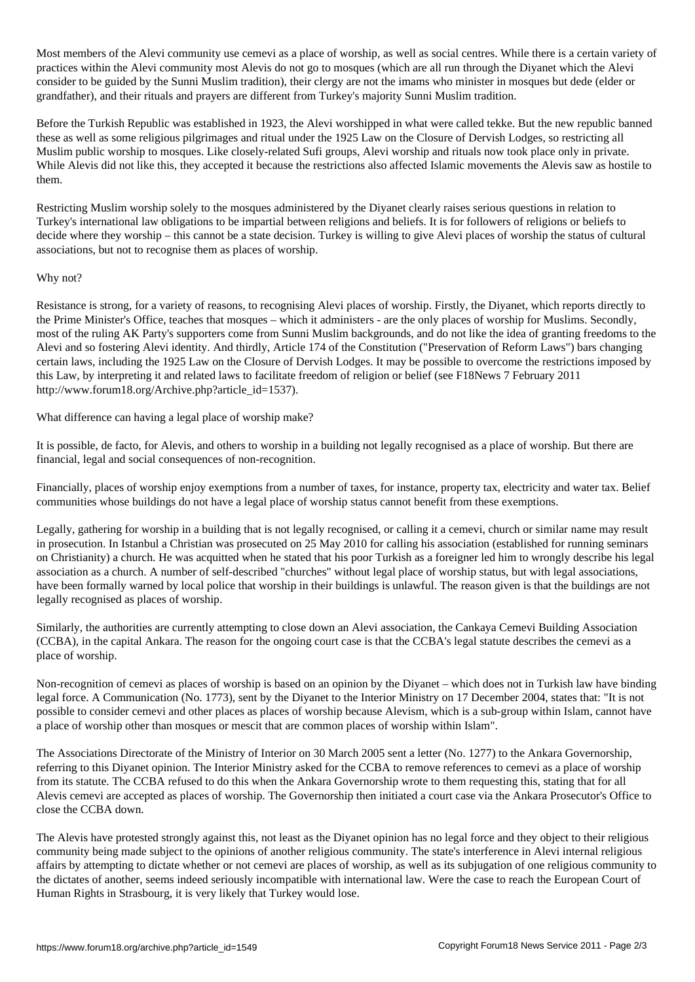$M_{\rm e}$  community use centres. While the Alevi community use centres. While there is a certain variety of worship, as well as social centres. While the  $M_{\rm e}$ practices within the Alevi community most Alevis do not go to mosques (which are all run through the Diyanet which the Alevi consider to be guided by the Sunni Muslim tradition), their clergy are not the imams who minister in mosques but dede (elder or grandfather), and their rituals and prayers are different from Turkey's majority Sunni Muslim tradition.

Before the Turkish Republic was established in 1923, the Alevi worshipped in what were called tekke. But the new republic banned these as well as some religious pilgrimages and ritual under the 1925 Law on the Closure of Dervish Lodges, so restricting all Muslim public worship to mosques. Like closely-related Sufi groups, Alevi worship and rituals now took place only in private. While Alevis did not like this, they accepted it because the restrictions also affected Islamic movements the Alevis saw as hostile to them.

Restricting Muslim worship solely to the mosques administered by the Diyanet clearly raises serious questions in relation to Turkey's international law obligations to be impartial between religions and beliefs. It is for followers of religions or beliefs to decide where they worship – this cannot be a state decision. Turkey is willing to give Alevi places of worship the status of cultural associations, but not to recognise them as places of worship.

### Why not?

Resistance is strong, for a variety of reasons, to recognising Alevi places of worship. Firstly, the Diyanet, which reports directly to the Prime Minister's Office, teaches that mosques – which it administers - are the only places of worship for Muslims. Secondly, most of the ruling AK Party's supporters come from Sunni Muslim backgrounds, and do not like the idea of granting freedoms to the Alevi and so fostering Alevi identity. And thirdly, Article 174 of the Constitution ("Preservation of Reform Laws") bars changing certain laws, including the 1925 Law on the Closure of Dervish Lodges. It may be possible to overcome the restrictions imposed by this Law, by interpreting it and related laws to facilitate freedom of religion or belief (see F18News 7 February 2011 http://www.forum18.org/Archive.php?article\_id=1537).

What difference can having a legal place of worship make?

It is possible, de facto, for Alevis, and others to worship in a building not legally recognised as a place of worship. But there are financial, legal and social consequences of non-recognition.

Financially, places of worship enjoy exemptions from a number of taxes, for instance, property tax, electricity and water tax. Belief communities whose buildings do not have a legal place of worship status cannot benefit from these exemptions.

Legally, gathering for worship in a building that is not legally recognised, or calling it a cemevi, church or similar name may result in prosecution. In Istanbul a Christian was prosecuted on 25 May 2010 for calling his association (established for running seminars on Christianity) a church. He was acquitted when he stated that his poor Turkish as a foreigner led him to wrongly describe his legal association as a church. A number of self-described "churches" without legal place of worship status, but with legal associations, have been formally warned by local police that worship in their buildings is unlawful. The reason given is that the buildings are not legally recognised as places of worship.

Similarly, the authorities are currently attempting to close down an Alevi association, the Cankaya Cemevi Building Association (CCBA), in the capital Ankara. The reason for the ongoing court case is that the CCBA's legal statute describes the cemevi as a place of worship.

Non-recognition of cemevi as places of worship is based on an opinion by the Diyanet – which does not in Turkish law have binding legal force. A Communication (No. 1773), sent by the Diyanet to the Interior Ministry on 17 December 2004, states that: "It is not possible to consider cemevi and other places as places of worship because Alevism, which is a sub-group within Islam, cannot have a place of worship other than mosques or mescit that are common places of worship within Islam".

The Associations Directorate of the Ministry of Interior on 30 March 2005 sent a letter (No. 1277) to the Ankara Governorship, referring to this Diyanet opinion. The Interior Ministry asked for the CCBA to remove references to cemevi as a place of worship from its statute. The CCBA refused to do this when the Ankara Governorship wrote to them requesting this, stating that for all Alevis cemevi are accepted as places of worship. The Governorship then initiated a court case via the Ankara Prosecutor's Office to close the CCBA down.

The Alevis have protested strongly against this, not least as the Diyanet opinion has no legal force and they object to their religious community being made subject to the opinions of another religious community. The state's interference in Alevi internal religious affairs by attempting to dictate whether or not cemevi are places of worship, as well as its subjugation of one religious community to the dictates of another, seems indeed seriously incompatible with international law. Were the case to reach the European Court of Human Rights in Strasbourg, it is very likely that Turkey would lose.